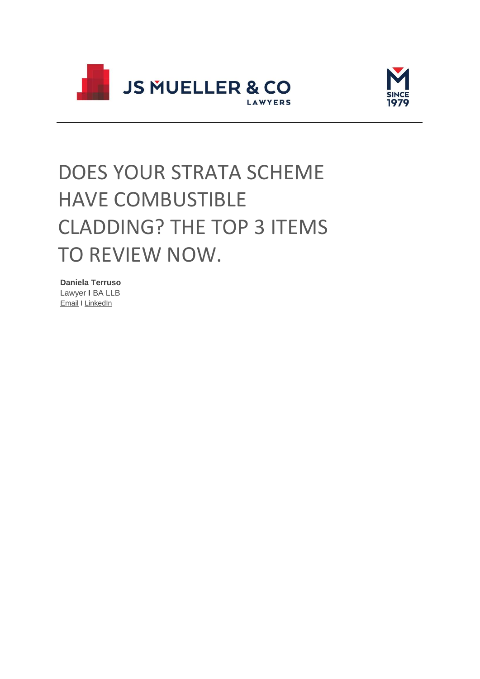



# DOES YOUR STRATA SCHEME HAVE COMBUSTIBLE CLADDING? THE TOP 3 ITEMS TO REVIEW NOW.

**Daniela Terruso** Lawyer **I** BA LLB

[Email](mailto:danielaterruso@muellers.com.au) I [LinkedIn](https://muellers.com.au/profile/Daniela-Terruso/)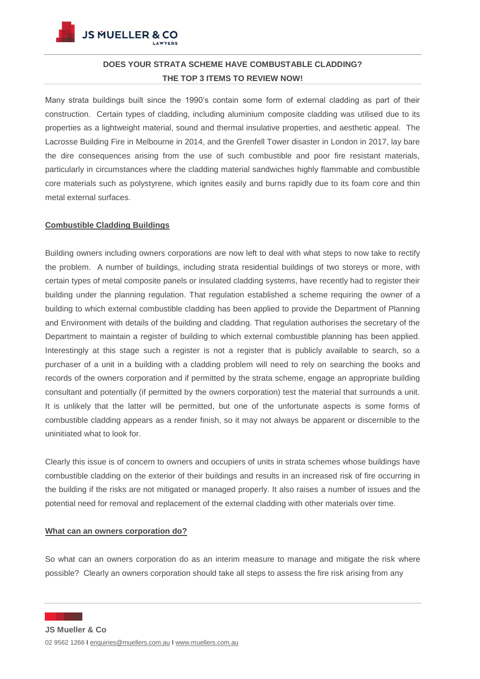

**JS MUELLER & CO** 

### **DOES YOUR STRATA SCHEME HAVE COMBUSTABLE CLADDING? THE TOP 3 ITEMS TO REVIEW NOW!**

Many strata buildings built since the 1990's contain some form of external cladding as part of their construction. Certain types of cladding, including aluminium composite cladding was utilised due to its properties as a lightweight material, sound and thermal insulative properties, and aesthetic appeal. The Lacrosse Building Fire in Melbourne in 2014, and the Grenfell Tower disaster in London in 2017, lay bare the dire consequences arising from the use of such combustible and poor fire resistant materials, particularly in circumstances where the cladding material sandwiches highly flammable and combustible core materials such as polystyrene, which ignites easily and burns rapidly due to its foam core and thin metal external surfaces.

#### **Combustible Cladding Buildings**

Building owners including owners corporations are now left to deal with what steps to now take to rectify the problem. A number of buildings, including strata residential buildings of two storeys or more, with certain types of metal composite panels or insulated cladding systems, have recently had to register their building under the planning regulation. That regulation established a scheme requiring the owner of a building to which external combustible cladding has been applied to provide the Department of Planning and Environment with details of the building and cladding. That regulation authorises the secretary of the Department to maintain a register of building to which external combustible planning has been applied. Interestingly at this stage such a register is not a register that is publicly available to search, so a purchaser of a unit in a building with a cladding problem will need to rely on searching the books and records of the owners corporation and if permitted by the strata scheme, engage an appropriate building consultant and potentially (if permitted by the owners corporation) test the material that surrounds a unit. It is unlikely that the latter will be permitted, but one of the unfortunate aspects is some forms of combustible cladding appears as a render finish, so it may not always be apparent or discernible to the uninitiated what to look for.

Clearly this issue is of concern to owners and occupiers of units in strata schemes whose buildings have combustible cladding on the exterior of their buildings and results in an increased risk of fire occurring in the building if the risks are not mitigated or managed properly. It also raises a number of issues and the potential need for removal and replacement of the external cladding with other materials over time.

#### **What can an owners corporation do?**

So what can an owners corporation do as an interim measure to manage and mitigate the risk where possible? Clearly an owners corporation should take all steps to assess the fire risk arising from any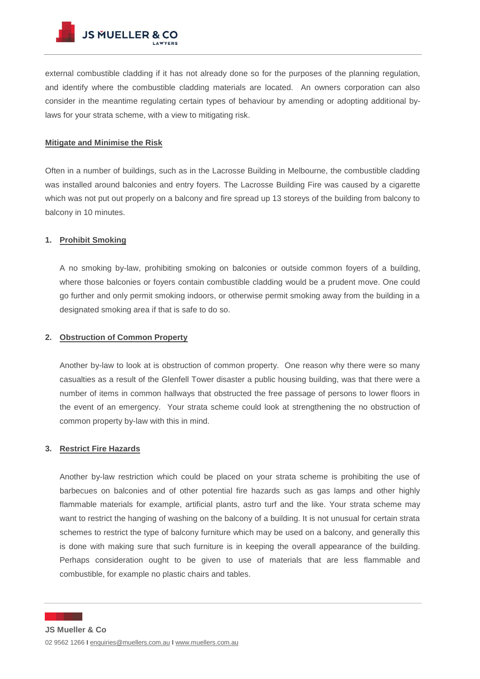external combustible cladding if it has not already done so for the purposes of the planning regulation, and identify where the combustible cladding materials are located. An owners corporation can also consider in the meantime regulating certain types of behaviour by amending or adopting additional bylaws for your strata scheme, with a view to mitigating risk.

#### **Mitigate and Minimise the Risk**

Often in a number of buildings, such as in the Lacrosse Building in Melbourne, the combustible cladding was installed around balconies and entry foyers. The Lacrosse Building Fire was caused by a cigarette which was not put out properly on a balcony and fire spread up 13 storeys of the building from balcony to balcony in 10 minutes.

#### **1. Prohibit Smoking**

A no smoking by-law, prohibiting smoking on balconies or outside common foyers of a building, where those balconies or foyers contain combustible cladding would be a prudent move. One could go further and only permit smoking indoors, or otherwise permit smoking away from the building in a designated smoking area if that is safe to do so.

#### **2. Obstruction of Common Property**

Another by-law to look at is obstruction of common property. One reason why there were so many casualties as a result of the Glenfell Tower disaster a public housing building, was that there were a number of items in common hallways that obstructed the free passage of persons to lower floors in the event of an emergency. Your strata scheme could look at strengthening the no obstruction of common property by-law with this in mind.

#### **3. Restrict Fire Hazards**

Another by-law restriction which could be placed on your strata scheme is prohibiting the use of barbecues on balconies and of other potential fire hazards such as gas lamps and other highly flammable materials for example, artificial plants, astro turf and the like. Your strata scheme may want to restrict the hanging of washing on the balcony of a building. It is not unusual for certain strata schemes to restrict the type of balcony furniture which may be used on a balcony, and generally this is done with making sure that such furniture is in keeping the overall appearance of the building. Perhaps consideration ought to be given to use of materials that are less flammable and combustible, for example no plastic chairs and tables.